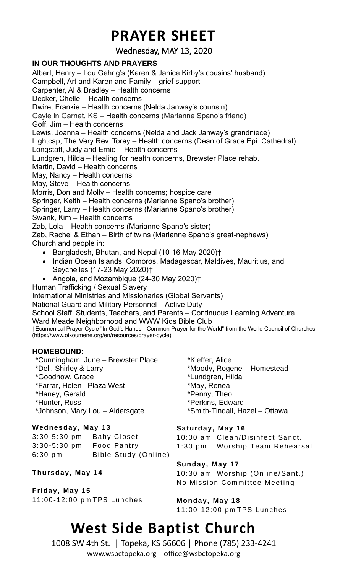### **PRAYER SHEET**

Wednesday, MAY 13, 2020

#### **IN OUR THOUGHTS AND PRAYERS**

Albert, Henry – Lou Gehrig's (Karen & Janice Kirby's cousins' husband) Campbell, Art and Karen and Family – grief support Carpenter, Al & Bradley – Health concerns Decker, Chelle – Health concerns Dwire, Frankie – Health concerns (Nelda Janway's counsin) Gayle in Garnet, KS – Health concerns (Marianne Spano's friend) Goff, Jim – Health concerns Lewis, Joanna – Health concerns (Nelda and Jack Janway's grandniece) Lightcap, The Very Rev. Torey – Health concerns (Dean of Grace Epi. Cathedral) Longstaff, Judy and Ernie – Health concerns Lundgren, Hilda – Healing for health concerns, Brewster Place rehab. Martin, David – Health concerns May, Nancy – Health concerns May, Steve – Health concerns Morris, Don and Molly – Health concerns; hospice care Springer, Keith – Health concerns (Marianne Spano's brother) Springer, Larry – Health concerns (Marianne Spano's brother) Swank, Kim – Health concerns Zab, Lola – Health concerns (Marianne Spano's sister) Zab, Rachel & Ethan – Birth of twins (Marianne Spano's great-nephews) Church and people in: • Bangladesh, Bhutan, and Nepal (10-16 May 2020)† • Indian Ocean Islands: Comoros, Madagascar, Maldives, Mauritius, and Seychelles (17-23 May 2020)† • Angola, and Mozambique (24-30 May 2020)† Human Trafficking / Sexual Slavery International Ministries and Missionaries (Global Servants) National Guard and Military Personnel – Active Duty School Staff, Students, Teachers, and Parents – Continuous Learning Adventure Ward Meade Neighborhood and WWW Kids Bible Club †Ecumenical Prayer Cycle "In God's Hands - Common Prayer for the World" from the World Council of Churches (https://www.oikoumene.org/en/resources/prayer-cycle) **HOMEBOUND:** \*Cunningham, June – Brewster Place \*Dell, Shirley & Larry \*Goodnow, Grace \*Farrar, Helen –Plaza West \*Haney, Gerald \*Hunter, Russ \*Kieffer, Alice \*Moody, Rogene – Homestead \*Lundgren, Hilda \*May, Renea \*Penny, Theo \*Perkins, Edward

\*Johnson, Mary Lou – Aldersgate

#### **Wednesday, Ma y 13**

3:30-5:30 pm Baby Closet 3:30-5:30 pm Food Pantry 6:30 pm Bible Study (Online)

**Thursday, Ma y 1 4**

**Frida y, Ma y 15** 11:00-12:00 pm TPS Lunches \*Smith-Tindall, Hazel – Ottawa

Saturday, May 16 10:00 am Clean/Disinfect Sanct. 1:30 pm Worship Team Rehearsal

**Sunday, May 17** 10:30 am Worship (Online/Sant.) No Mission Committee Meeting

Monday, May 18 11:00-12:00 pm TPS Lunches

### **West Side Baptist Church**

1008 SW 4th St. │ Topeka, KS 66606 │ Phone (785) 233-4241 www.wsbctopeka.org │ office@wsbctopeka.org